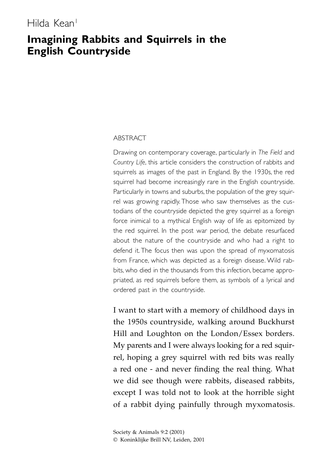# Hilda Kean<sup>1</sup>

# **Imagining Rabbits and Squirrels in the English Countryside**

#### ABSTRACT

Drawing on contemporary coverage, particularly in *The Field* and *Country Life*, this article considers the construction of rabbits and squirrels as images of the past in England. By the 1930s, the red squirrel had become increasingly rare in the English countryside. Particularly in towns and suburbs, the population of the grey squirrel was growing rapidly. Those who saw themselves as the custodians of the countryside depicted the grey squirrel as a foreign force inimical to a mythical English way of life as epitomized by the red squirrel. In the post war period, the debate resurfaced about the nature of the countryside and who had a right to defend it. The focus then was upon the spread of myxomatosis from France, which was depicted as a foreign disease. Wild rabbits, who died in the thousands from this infection, became appropriated, as red squirrels before them, as symbols of a lyrical and ordered past in the countryside.

I want to start with a memory of childhood days in the 1950s countryside, walking around Buckhurst Hill and Loughton on the London/Essex borders. My parents and I were always looking for a red squirrel, hoping a grey squirrel with red bits was really a red one - and never finding the real thing. What we did see though were rabbits, diseased rabbits, except I was told not to look at the horrible sight of a rabbit dying painfully through myxomatosis.

Society & Animals 9:2 (2001) © Koninklijke Brill NV, Leiden, 2001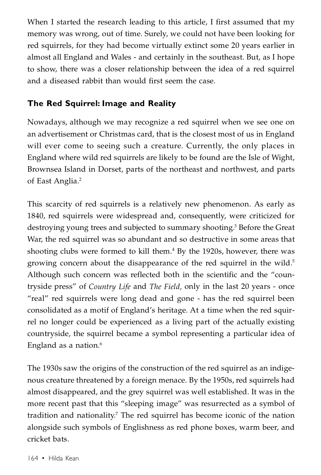When I started the research leading to this article, I first assumed that my memory was wrong, out of time. Surely, we could not have been looking for red squirrels, for they had become virtually extinct some 20 years earlier in almost all England and Wales - and certainly in the southeast. But, as I hope to show, there was a closer relationship between the idea of a red squirrel and a diseased rabbit than would first seem the case.

# **The Red Squirrel: Image and Reality**

Nowadays, although we may recognize a red squirrel when we see one on an advertisement or Christmas card, that is the closest most of us in England will ever come to seeing such a creature. Currently, the only places in England where wild red squirrels are likely to be found are the Isle of Wight, Brownsea Island in Dorset, parts of the northeast and northwest, and parts of East Anglia. 2

This scarcity of red squirrels is a relatively new phenomenon. As early as 1840, red squirrels were widespread and, consequently, were criticized for destroying young trees and subjected to summary shooting.<sup>3</sup> Before the Great War, the red squirrel was so abundant and so destructive in some areas that shooting clubs were formed to kill them. <sup>4</sup> By the 1920s, however, there was growing concern about the disappearance of the red squirrel in the wild. 5 Although such concern was reflected both in the scientific and the "countryside press" of *Country Life* and *The Field,* only in the last 20 years - once "real" red squirrels were long dead and gone - has the red squirrel been consolidated as a motif of England's heritage. At a time when the red squirrel no longer could be experienced as a living part of the actually existing countryside, the squirrel became a symbol representing a particular idea of England as a nation.<sup>6</sup>

The 1930s saw the origins of the construction of the red squirrel as an indigenous creature threatened by a foreign menace. By the 1950s, red squirrels had almost disappeared, and the grey squirrel was well established. It was in the more recent past that this "sleeping image" was resurrected as a symbol of tradition and nationality.<sup>7</sup> The red squirrel has become iconic of the nation alongside such symbols of Englishness as red phone boxes, warm beer, and cricket bats.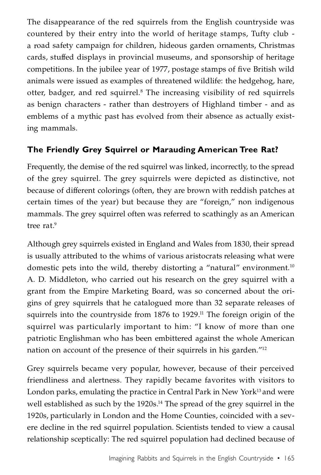The disappearance of the red squirrels from the English countryside was countered by their entry into the world of heritage stamps, Tufty club a road safety campaign for children, hideous garden ornaments, Christmas cards, stuffed displays in provincial museums, and sponsorship of heritage competitions. In the jubilee year of 1977, postage stamps of five British wild animals were issued as examples of threatened wildlife: the hedgehog, hare, otter, badger, and red squirrel. <sup>8</sup> The increasing visibility of red squirrels as benign characters - rather than destroyers of Highland timber - and as emblems of a mythic past has evolved from their absence as actually existing mammals.

# **The Friendly Grey Squirrel or Marauding American Tree Rat?**

Frequently, the demise of the red squirrel was linked, incorrectly, to the spread of the grey squirrel. The grey squirrels were depicted as distinctive, not because of different colorings (often, they are brown with reddish patches at certain times of the year) but because they are "foreign," non indigenous mammals. The grey squirrel often was referred to scathingly as an American tree rat. 9

Although grey squirrels existed in England and Wales from 1830, their spread is usually attributed to the whims of various aristocrats releasing what were domestic pets into the wild, thereby distorting a "natural" environment.<sup>10</sup> A. D. Middleton, who carried out his research on the grey squirrel with a grant from the Empire Marketing Board, was so concerned about the origins of grey squirrels that he catalogued more than 32 separate releases of squirrels into the countryside from 1876 to 1929. <sup>11</sup> The foreign origin of the squirrel was particularly important to him: "I know of more than one patriotic Englishman who has been embittered against the whole American nation on account of the presence of their squirrels in his garden."12

Grey squirrels became very popular, however, because of their perceived friendliness and alertness. They rapidly became favorites with visitors to London parks, emulating the practice in Central Park in New York<sup>13</sup> and were well established as such by the 1920s. <sup>14</sup> The spread of the grey squirrel in the 1920s, particularly in London and the Home Counties, coincided with a severe decline in the red squirrel population. Scientists tended to view a causal relationship sceptically: The red squirrel population had declined because of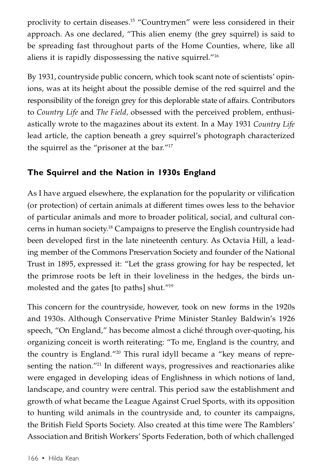proclivity to certain diseases. <sup>15</sup> "Countrymen" were less considered in their approach. As one declared, "This alien enemy (the grey squirrel) is said to be spreading fast throughout parts of the Home Counties, where, like all aliens it is rapidly dispossessing the native squirrel."16

By 1931, countryside public concern, which took scant note of scientists' opinions, was at its height about the possible demise of the red squirrel and the responsibility of the foreign grey for this deplorable state of affairs. Contributors to *Country Life* and *The Field,* obsessed with the perceived problem, enthusiastically wrote to the magazines about its extent. In a May 1931 *Country Life* lead article, the caption beneath a grey squirrel's photograph characterized the squirrel as the "prisoner at the bar."17

# **The Squirrel and the Nation in 1930s England**

As I have argued elsewhere, the explanation for the popularity or vilification (or protection) of certain animals at different times owes less to the behavior of particular animals and more to broader political, social, and cultural concerns in human society. <sup>18</sup> Campaigns to preserve the English countryside had been developed first in the late nineteenth century. As Octavia Hill, a leading member of the Commons Preservation Society and founder of the National Trust in 1895, expressed it: "Let the grass growing for hay be respected, let the primrose roots be left in their loveliness in the hedges, the birds unmolested and the gates [to paths] shut."19

This concern for the countryside, however, took on new forms in the 1920s and 1930s. Although Conservative Prime Minister Stanley Baldwin's 1926 speech, "On England," has become almost a cliché through over-quoting, his organizing conceit is worth reiterating: "To me, England is the country, and the country is England."20 This rural idyll became a "key means of representing the nation."<sup>21</sup> In different ways, progressives and reactionaries alike were engaged in developing ideas of Englishness in which notions of land, landscape, and country were central. This period saw the establishment and growth of what became the League Against Cruel Sports, with its opposition to hunting wild animals in the countryside and, to counter its campaigns, the British Field Sports Society. Also created at this time were The Ramblers' Association and British Workers' Sports Federation, both of which challenged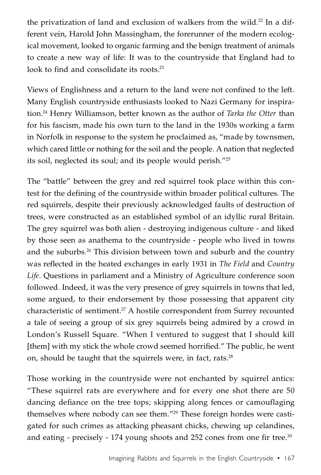the privatization of land and exclusion of walkers from the wild.<sup>22</sup> In a different vein, Harold John Massingham, the forerunner of the modern ecological movement, looked to organic farming and the benign treatment of animals to create a new way of life: It was to the countryside that England had to look to find and consolidate its roots.<sup>23</sup>

Views of Englishness and a return to the land were not confined to the left. Many English countryside enthusiasts looked to Nazi Germany for inspiration.24 Henry Williamson, better known as the author of *Tarka the Otter* than for his fascism, made his own turn to the land in the 1930s working a farm in Norfolk in response to the system he proclaimed as, "made by townsmen, which cared little or nothing for the soil and the people. A nation that neglected its soil, neglected its soul; and its people would perish."25

The "battle" between the grey and red squirrel took place within this contest for the defining of the countryside within broader political cultures. The red squirrels, despite their previously acknowledged faults of destruction of trees, were constructed as an established symbol of an idyllic rural Britain. The grey squirrel was both alien - destroying indigenous culture - and liked by those seen as anathema to the countryside - people who lived in towns and the suburbs.26 This division between town and suburb and the country was reflected in the heated exchanges in early 1931 in *The Field* and *Country Life*. Questions in parliament and a Ministry of Agriculture conference soon followed. Indeed, it was the very presence of grey squirrels in towns that led, some argued, to their endorsement by those possessing that apparent city characteristic of sentiment. <sup>27</sup> A hostile correspondent from Surrey recounted a tale of seeing a group of six grey squirrels being admired by a crowd in London's Russell Square. "When I ventured to suggest that I should kill [them] with my stick the whole crowd seemed horrified." The public, he went on, should be taught that the squirrels were, in fact, rats. $^{28}$ 

Those working in the countryside were not enchanted by squirrel antics: "These squirrel rats are everywhere and for every one shot there are 50 dancing defiance on the tree tops; skipping along fences or camouflaging themselves where nobody can see them."29 These foreign hordes were castigated for such crimes as attacking pheasant chicks, chewing up celandines, and eating - precisely - 174 young shoots and 252 cones from one fir tree.<sup>30</sup>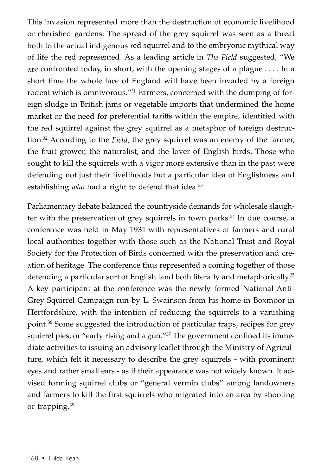This invasion represented more than the destruction of economic livelihood or cherished gardens: The spread of the grey squirrel was seen as a threat both to the actual indigenous red squirrel and to the embryonic mythical way of life the red represented. As a leading article in *The Field* suggested, "We are confronted today, in short, with the opening stages of a plague . . . . In a short time the whole face of England will have been invaded by a foreign rodent which is omnivorous."31 Farmers, concerned with the dumping of foreign sludge in British jams or vegetable imports that undermined the home market or the need for preferential tariffs within the empire, identified with the red squirrel against the grey squirrel as a metaphor of foreign destruction.32 According to the *Field,* the grey squirrel was an enemy of the farmer, the fruit grower, the naturalist, and the lover of English birds. Those who sought to kill the squirrels with a vigor more extensive than in the past were defending not just their livelihoods but a particular idea of Englishness and establishing *who* had a right to defend that idea. 33

Parliamentary debate balanced the countryside demands for wholesale slaughter with the preservation of grey squirrels in town parks.<sup>34</sup> In due course, a conference was held in May 1931 with representatives of farmers and rural local authorities together with those such as the National Trust and Royal Society for the Protection of Birds concerned with the preservation and creation of heritage. The conference thus represented a coming together of those defending a particular sort of English land both literally and metaphorically. 35 A key participant at the conference was the newly formed National Anti-Grey Squirrel Campaign run by L. Swainson from his home in Boxmoor in Hertfordshire, with the intention of reducing the squirrels to a vanishing point. <sup>36</sup> Some suggested the introduction of particular traps, recipes for grey squirrel pies, or "early rising and a gun."<sup>37</sup> The government confined its immediate activities to issuing an advisory leaflet through the Ministry of Agriculture, which felt it necessary to describe the grey squirrels - with prominent eyes and rather small ears - as if their appearance was not widely known. It advised forming squirrel clubs or "general vermin clubs" among landowners and farmers to kill the first squirrels who migrated into an area by shooting or trapping.<sup>38</sup>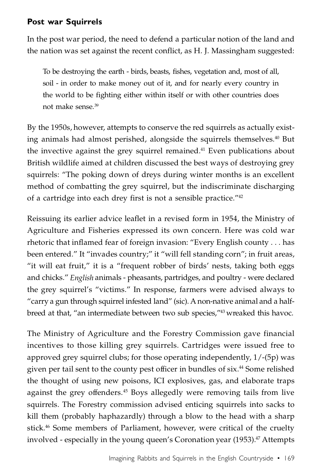### **Post war Squirrels**

In the post war period, the need to defend a particular notion of the land and the nation was set against the recent conflict, as H. J. Massingham suggested:

To be destroying the earth - birds, beasts, fishes, vegetation and, most of all, soil - in order to make money out of it, and for nearly every country in the world to be fighting either within itself or with other countries does not make sense. 39

By the 1950s, however, attempts to conserve the red squirrels as actually existing animals had almost perished, alongside the squirrels themselves.<sup>40</sup> But the invective against the grey squirrel remained. <sup>41</sup> Even publications about British wildlife aimed at children discussed the best ways of destroying grey squirrels: "The poking down of dreys during winter months is an excellent method of combatting the grey squirrel, but the indiscriminate discharging of a cartridge into each drey first is not a sensible practice."42

Reissuing its earlier advice leaflet in a revised form in 1954, the Ministry of Agriculture and Fisheries expressed its own concern. Here was cold war rhetoric that inflamed fear of foreign invasion: "Every English county . . . has been entered." It "invades country;" it "will fell standing corn"; in fruit areas, "it will eat fruit," it is a "frequent robber of birds' nests, taking both eggs and chicks." *English* animals - pheasants, partridges, and poultry - were declared the grey squirrel's "victims." In response, farmers were advised always to "carry a gun through squirrel infested land" (sic). Anon-native animal and a halfbreed at that, "an intermediate between two sub species,"43 wreaked this havoc.

The Ministry of Agriculture and the Forestry Commission gave financial incentives to those killing grey squirrels. Cartridges were issued free to approved grey squirrel clubs; for those operating independently, 1/-(5p) was given per tail sent to the county pest officer in bundles of six. <sup>44</sup> Some relished the thought of using new poisons, ICI explosives, gas, and elaborate traps against the grey offenders. <sup>45</sup> Boys allegedly were removing tails from live squirrels. The Forestry commission advised enticing squirrels into sacks to kill them (probably haphazardly) through a blow to the head with a sharp stick.<sup>46</sup> Some members of Parliament, however, were critical of the cruelty involved - especially in the young queen's Coronation year (1953).<sup>47</sup> Attempts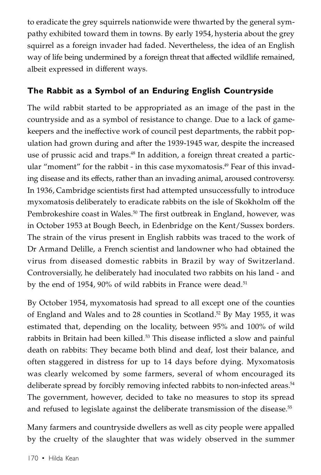to eradicate the grey squirrels nationwide were thwarted by the general sympathy exhibited toward them in towns. By early 1954, hysteria about the grey squirrel as a foreign invader had faded. Nevertheless, the idea of an English way of life being undermined by a foreign threat that affected wildlife remained, albeit expressed in different ways.

## **The Rabbit as a Symbol of an Enduring English Countryside**

The wild rabbit started to be appropriated as an image of the past in the countryside and as a symbol of resistance to change. Due to a lack of gamekeepers and the ineffective work of council pest departments, the rabbit population had grown during and after the 1939-1945 war, despite the increased use of prussic acid and traps. <sup>48</sup> In addition, a foreign threat created a particular "moment" for the rabbit - in this case myxomatosis. <sup>49</sup> Fear of this invading disease and its effects, rather than an invading animal, aroused controversy. In 1936, Cambridge scientists first had attempted unsuccessfully to introduce myxomatosis deliberately to eradicate rabbits on the isle of Skokholm off the Pembrokeshire coast in Wales.<sup>50</sup> The first outbreak in England, however, was in October 1953 at Bough Beech, in Edenbridge on the Kent/Sussex borders. The strain of the virus present in English rabbits was traced to the work of Dr Armand Delille, a French scientist and landowner who had obtained the virus from diseased domestic rabbits in Brazil by way of Switzerland. Controversially, he deliberately had inoculated two rabbits on his land - and by the end of 1954, 90% of wild rabbits in France were dead.<sup>51</sup>

By October 1954, myxomatosis had spread to all except one of the counties of England and Wales and to 28 counties in Scotland. <sup>52</sup> By May 1955, it was estimated that, depending on the locality, between 95% and 100% of wild rabbits in Britain had been killed.<sup>53</sup> This disease inflicted a slow and painful death on rabbits: They became both blind and deaf, lost their balance, and often staggered in distress for up to 14 days before dying. Myxomatosis was clearly welcomed by some farmers, several of whom encouraged its deliberate spread by forcibly removing infected rabbits to non-infected areas.<sup>54</sup> The government, however, decided to take no measures to stop its spread and refused to legislate against the deliberate transmission of the disease.<sup>55</sup>

Many farmers and countryside dwellers as well as city people were appalled by the cruelty of the slaughter that was widely observed in the summer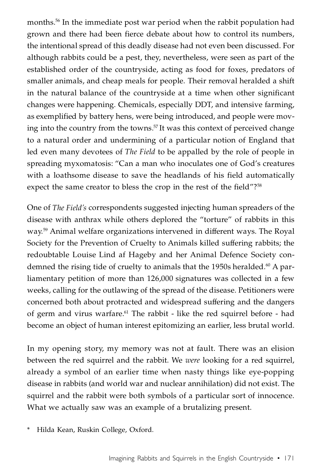months.56 In the immediate post war period when the rabbit population had grown and there had been fierce debate about how to control its numbers, the intentional spread of this deadly disease had not even been discussed. For although rabbits could be a pest, they, nevertheless, were seen as part of the established order of the countryside, acting as food for foxes, predators of smaller animals, and cheap meals for people. Their removal heralded a shift in the natural balance of the countryside at a time when other significant changes were happening. Chemicals, especially DDT, and intensive farming, as exemplified by battery hens, were being introduced, and people were moving into the country from the towns. <sup>57</sup> It was this context of perceived change to a natural order and undermining of a particular notion of England that led even many devotees of *The Field* to be appalled by the role of people in spreading myxomatosis: "Can a man who inoculates one of God's creatures with a loathsome disease to save the headlands of his field automatically expect the same creator to bless the crop in the rest of the field"?<sup>58</sup>

One of *The Field's* correspondents suggested injecting human spreaders of the disease with anthrax while others deplored the "torture" of rabbits in this way. <sup>59</sup> Animal welfare organizations intervened in different ways. The Royal Society for the Prevention of Cruelty to Animals killed suffering rabbits; the redoubtable Louise Lind af Hageby and her Animal Defence Society condemned the rising tide of cruelty to animals that the 1950s heralded. <sup>60</sup> A parliamentary petition of more than 126,000 signatures was collected in a few weeks, calling for the outlawing of the spread of the disease. Petitioners were concerned both about protracted and widespread suffering and the dangers of germ and virus warfare.<sup>61</sup> The rabbit - like the red squirrel before - had become an object of human interest epitomizing an earlier, less brutal world.

In my opening story, my memory was not at fault. There was an elision between the red squirrel and the rabbit. We *were* looking for a red squirrel, already a symbol of an earlier time when nasty things like eye-popping disease in rabbits (and world war and nuclear annihilation) did not exist. The squirrel and the rabbit were both symbols of a particular sort of innocence. What we actually saw was an example of a brutalizing present.

Hilda Kean, Ruskin College, Oxford.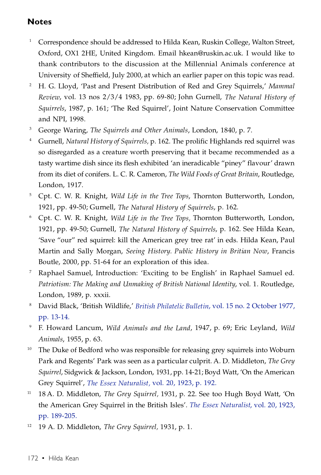### **Notes**

- <sup>1</sup> Correspondence should be addressed to Hilda Kean, Ruskin College, Walton Street, Oxford, OX1 2HE, United Kingdom. Email hkean@ruskin.ac.uk. I would like to thank contributors to the discussion at the Millennial Animals conference at University of Sheffield, July 2000, at which an earlier paper on this topic was read.
- <sup>2</sup> H. G. Lloyd, 'Past and Present Distribution of Red and Grey Squirrels,' *Mammal Review*, vol. 13 nos 2/3/4 1983, pp. 69-80; John Gurnell, *The Natural History of Squirrels*, 1987, p. 161; 'The Red Squirrel', Joint Nature Conservation Committee and NPI, 1998.
- <sup>3</sup> George Waring, *The Squirrels and Other Animals*, London, 1840, p. 7.
- <sup>4</sup> Gurnell, *Natural History of Squirrels,* p. 162. The prolific Highlands red squirrel was so disregarded as a creature worth preserving that it became recommended as a tasty wartime dish since its flesh exhibited 'an ineradicable "piney" flavour' drawn from its diet of conifers. L. C. R. Cameron, *The Wild Foods of Great Britain*, Routledge, London, 1917.
- <sup>5</sup> Cpt. C. W. R. Knight, *Wild Life in the Tree Tops*, Thornton Butterworth, London, 1921, pp. 49-50; Gurnell, *The Natural History of Squirrels*, p. 162.
- <sup>6</sup> Cpt. C. W. R. Knight, *Wild Life in the Tree Tops,* Thornton Butterworth, London, 1921, pp. 49-50; Gurnell, *The Natural History of Squirrels*, p. 162. See Hilda Kean, 'Save "our" red squirrel: kill the American grey tree rat' in eds. Hilda Kean, Paul Martin and Sally Morgan, *Seeing History. Public History in Britian Now*, Francis Boutle, 2000, pp. 51-64 for an exploration of this idea.
- <sup>7</sup> Raphael Samuel, Introduction: 'Exciting to be English' in Raphael Samuel ed. *Patriotism: The Making and Unmaking of British National Identity*, vol. 1. Routledge, London, 1989, p. xxxii.
- <sup>8</sup> David Black, 'British Wildlife,' *British Philatelic Bulletin*, vol. 15 no. 2 October 1977, pp. 13-14.
- <sup>9</sup> F. Howard Lancum, *Wild Animals and the Land*, 1947, p. 69; Eric Leyland, *Wild Animals*, 1955, p. 63.
- <sup>10</sup> The Duke of Bedford who was responsible for releasing grey squirrels into Woburn Park and Regents' Park was seen as a particular culprit. A. D. Middleton, *The Grey Squirrel*, Sidgwick & Jackson, London, 1931, pp. 14-21; Boyd Watt, 'On the American Grey Squirrel', *The Essex Naturalist,* vol. 20, 1923, p. 192.
- <sup>11</sup> 18 A. D. Middleton, *The Grey Squirrel,* 1931, p. 22. See too Hugh Boyd Watt, 'On the American Grey Squirrel in the British Isles'. *The Essex Naturalist*, vol. 20, 1923, pp. 189-205.
- <sup>12</sup> 19 A. D. Middleton, *The Grey Squirrel,* 1931, p. 1.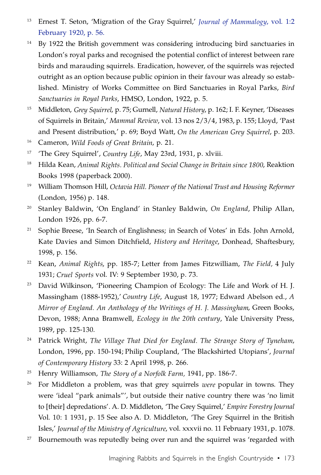- <sup>13</sup> Ernest T. Seton, 'Migration of the Gray Squirrel,' *Journal of Mammalogy*, vol. 1:2 February 1920, p. 56.
- <sup>14</sup> By 1922 the British government was considering introducing bird sanctuaries in London's royal parks and recognised the potential conflict of interest between rare birds and marauding squirrels. Eradication, however, of the squirrels was rejected outright as an option because public opinion in their favour was already so established. Ministry of Works Committee on Bird Sanctuaries in Royal Parks, *Bird Sanctuaries in Royal Parks*, HMSO, London, 1922, p. 5.
- <sup>15</sup> Middleton, *Grey Squirrel*, p. 75; Gurnell, *Natural History*, p. 162; I. F. Keyner, 'Diseases of Squirrels in Britain,' *Mammal Review*, vol. 13 nos 2/3/4, 1983, p. 155; Lloyd, 'Past and Present distribution,' p. 69; Boyd Watt, *On the American Grey Squirrel*, p. 203.
- <sup>16</sup> Cameron, *Wild Foods of Great Britain*, p. 21.
- <sup>17</sup> 'The Grey Squirrel', *Country Life*, May 23rd, 1931, p. xlviii.
- <sup>18</sup> Hilda Kean, *Animal Rights. Political and Social Change in Britain since 1800*, Reaktion Books 1998 (paperback 2000).
- <sup>19</sup> William Thomson Hill, *Octavia Hill. Pioneer of the National Trust and Housing Reformer* (London, 1956) p. 148.
- <sup>20</sup> Stanley Baldwin, 'On England' in Stanley Baldwin, *On England*, Philip Allan, London 1926, pp. 6-7.
- <sup>21</sup> Sophie Breese, 'In Search of Englishness; in Search of Votes' in Eds. John Arnold, Kate Davies and Simon Ditchfield, *History and Heritage*, Donhead, Shaftesbury, 1998, p. 156.
- <sup>22</sup> Kean, *Animal Rights*, pp. 185-7; Letter from James Fitzwilliam, *The Field,* 4 July 1931; *Cruel Sports* vol. IV: 9 September 1930, p. 73.
- <sup>23</sup> David Wilkinson, 'Pioneering Champion of Ecology: The Life and Work of H. J. Massingham (1888-1952),' *Country Life*, August 18, 1977; Edward Abelson ed., *A Mirror of England. An Anthology of the Writings of H. J. Massingham*, Green Books, Devon, 1988; Anna Bramwell, *Ecology in the 20th century*, Yale University Press, 1989, pp. 125-130.
- <sup>24</sup> Patrick Wright, *The Village That Died for England. The Strange Story of Tyneham*, London, 1996, pp. 150-194; Philip Coupland, 'The Blackshirted Utopians', *Journal of Contemporary History* 33: 2 April 1998, p. 266.
- <sup>25</sup> Henry Williamson, *The Story of a Norfolk Farm,* 1941, pp. 186-7.
- <sup>26</sup> For Middleton a problem, was that grey squirrels *were* popular in towns. They were 'ideal "park animals"', but outside their native country there was 'no limit to [their] depredations'. A. D. Middleton, 'The Grey Squirrel,' *Empire Forestry Journal* Vol. 10: 1 1931, p. 15 See also A. D. Middleton, 'The Grey Squirrel in the British Isles,' *Journal of the Ministry of Agriculture*, vol. xxxvii no. 11 February 1931, p. 1078.
- <sup>27</sup> Bournemouth was reputedly being over run and the squirrel was 'regarded with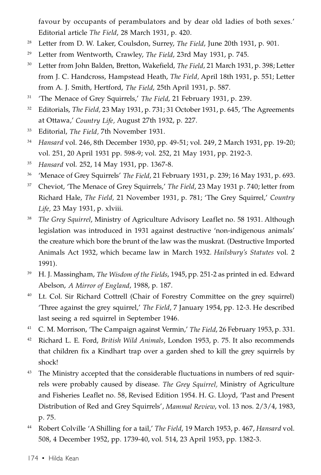favour by occupants of perambulators and by dear old ladies of both sexes.' Editorial article *The Field*, 28 March 1931, p. 420.

- <sup>28</sup> Letter from D. W. Laker, Coulsdon, Surrey, *The Field*, June 20th 1931, p. 901.
- <sup>29</sup> Letter from Wentworth, Crawley, *The Field*, 23rd May 1931, p. 745.
- <sup>30</sup> Letter from John Balden, Bretton, Wakefield, *The Field*, 21 March 1931, p. 398; Letter from J. C. Handcross, Hampstead Heath, *The Field,* April 18th 1931, p. 551; Letter from A. J. Smith, Hertford, *The Field*, 25th April 1931, p. 587.
- <sup>31</sup> 'The Menace of Grey Squirrels,' *The Field*, 21 February 1931, p. 239.
- <sup>32</sup> Editorials, *The Field*, 23 May 1931, p. 731; 31 October 1931, p. 645, 'The Agreements at Ottawa,' *Country Life,* August 27th 1932, p. 227.
- <sup>33</sup> Editorial, *The Field,* 7th November 1931.
- <sup>34</sup> *Hansard* vol. 246, 8th December 1930, pp. 49-51; vol. 249, 2 March 1931, pp. 19-20; vol. 251, 20 April 1931 pp. 598-9; vol. 252, 21 May 1931, pp. 2192-3.
- <sup>35</sup> *Hansard* vol. 252, 14 May 1931, pp. 1367-8.
- <sup>36</sup> 'Menace of Grey Squirrels' *The Field*, 21 February 1931, p. 239; 16 May 1931, p. 693.
- <sup>37</sup> Cheviot, 'The Menace of Grey Squirrels,' *The Field*, 23 May 1931 p. 740; letter from Richard Hale, *The Field,* 21 November 1931, p. 781; 'The Grey Squirrel,' *Country Life,* 23 May 1931, p. xlviii.
- <sup>38</sup> *The Grey Squirrel*, Ministry of Agriculture Advisory Leaflet no. 58 1931. Although legislation was introduced in 1931 against destructive 'non-indigenous animals' the creature which bore the brunt of the law was the muskrat. (Destructive Imported Animals Act 1932, which became law in March 1932. *Hailsbury's Statutes* vol. 2 1991).
- <sup>39</sup> H. J. Massingham, *The Wisdom of the Fields*, 1945, pp. 251-2 as printed in ed. Edward Abelson, *A Mirror of England*, 1988, p. 187.
- <sup>40</sup> Lt. Col. Sir Richard Cottrell (Chair of Forestry Committee on the grey squirrel) 'Three against the grey squirrel,' *The Field*, 7 January 1954, pp. 12-3. He described last seeing a red squirrel in September 1946.
- <sup>41</sup> C. M. Morrison, 'The Campaign against Vermin,' *The Field*, 26 February 1953, p. 331.
- <sup>42</sup> Richard L. E. Ford, *British Wild Animals*, London 1953, p. 75. It also recommends that children fix a Kindhart trap over a garden shed to kill the grey squirrels by shock!
- <sup>43</sup> The Ministry accepted that the considerable fluctuations in numbers of red squirrels were probably caused by disease. *The Grey Squirrel,* Ministry of Agriculture and Fisheries Leaflet no. 58, Revised Edition 1954. H. G. Lloyd, 'Past and Present Distribution of Red and Grey Squirrels', *Mammal Review*, vol. 13 nos. 2/3/4, 1983, p. 75.
- <sup>44</sup> Robert Colville 'A Shilling for a tail,' *The Field*, 19 March 1953, p. 467, *Hansard* vol. 508, 4 December 1952, pp. 1739-40, vol. 514, 23 April 1953, pp. 1382-3.